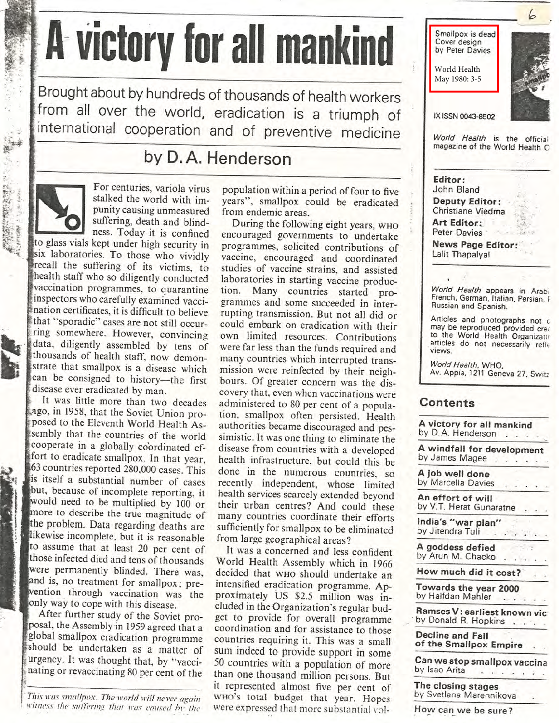## A victory for all mankind

Brought about by hundreds of thousands of health workers from all over the world, eradication is a triumph of international cooperation and of preventive medicine

## by D.A. Henderson

「 性能の治療」

For centuries, variola virus stalked the world with impunity causing unmeasured suffering, death and blindness. Today it is confined

to glass vials kept under high security in six laboratories. To those who vividly recall the suffering of its victims, to health staff who so diligently conducted vaccination programmes, to quarantine inspectors who carefully examined vaccination certificates, it is difficult to believe that "sporadic" cases are not still occurring somewhere. However, convincing data, diligently assembled by tens of thousands of health staff, now demonstrate that smallpox is a disease which can be consigned to history-the first disease ever eradicated by man.

It was little more than two decades ago, in 1958, that the Soviet Union proposed to the Eleventh World Health Assembly that the countries of the world cooperate in a globally coordinated effort to eradicate smallpox. In that year, 63 countries reported 280,000 cases. This is itself a substantial number of cases but, because of incomplete reporting, it would need to be multiplied by 100 or more to describe the true magnitude of the problem. Data regarding deaths are likewise incomplete, but it is reasonable to assume that at least 20 per cent of those infected died and tens of thousands were permanently blinded. There was, and is, no treatment for smallpox; prewention through vaccination was the only way to cope with this disease.

After further study of the Soviet proposal, the Assembly in 1959 agreed that a global smallpox eradication programme should be undertaken as a matter of urgency. It was thought that, by "vaccinating or revaccinating 80 per cent of the

This was smallpox. The world will never again witness the suffering that was caused by the population within a period of four to five years", smallpox could be eradicated from endemic areas.

During the following eight years, WHO encouraged governments to undertake programmes, solicited contributions of vaccine, encouraged and coordinated studies of vaccine strains, and assisted laboratories in starting vaccine production. Many countries started programmes and some succeeded in interrupting transmission. But not all did or could embark on eradication with their own limited resources. Contributions were far less than the funds required and many countries which interrupted transmission were reinfected by their neighbours. Of greater concern was the discovery that, even when vaccinations were administered to 80 per cent of a population, smallpox often persisted. Health authorities became discouraged and pessimistic. It was one thing to eliminate the disease from countries with a developed health infrastructure, but could this be done in the numerous countries, so recently independent, whose limited health services scarcely extended beyond their urban centres? And could these many countries coordinate their efforts sufficiently for smallpox to be eliminated from large geographical areas?

It was a concerned and less confident World Health Assembly which in 1966 decided that who should undertake an intensified eradication programme. Approximately US \$2.5 million was included in the Organization's regular budget to provide for overall programme coordination and for assistance to those countries requiring it. This was a small sum indeed to provide support in some 50 countries with a population of more than one thousand million persons. But it represented almost five per cent of WHO's total budget that year. Hopes were expressed that more substantial vol-



A goddess defied by Arun M. Chacko

How much did it cost?

Towards the year 2000 by Halfdan Mahler

Ramses V: earliest known vic by Donald R. Hopkins . . . .

**Decline and Fall** of the Smallpox Empire

Can we stop smallpox vaccina by Isao Arita 

The closing stages by Svetlana Marennikova

How can we be sure?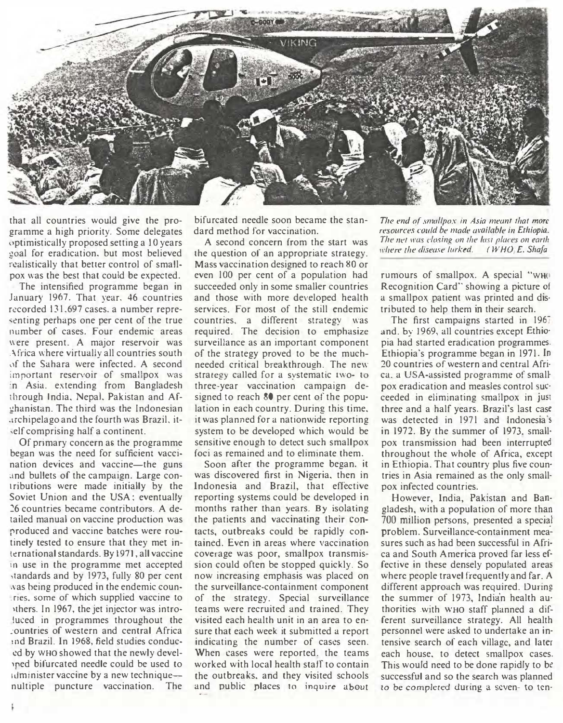

that all countries would give the programme a high priority. Some delegates uptimistically proposed setting a 10 years goal for eradication, but most believed realistically that better control of smallpox was the best that could be expected.

The intensified programme began in January 1967. That year, 46 countries recorded 131.697 cases. a number repre senting perhaps one per cent of the true number of cases. Four endemic areas were present. A major reservoir was Africa where virtually all countries south of the Sahara were infected. A second important reservoir of smallpox was :n Asia. extending from Bangladesh through India, Nepal, Pakistan and Afghanistan. The third was the Indonesian .irchipelago and the fourth was Brazil, it ,elf comprising half a continent.

Of primary concern as the programme began was the need for sufficient vaccination devices and vaccine-the guns and bullets of the campaign. Large contributions were made initially by the Soviet Union and the USA; eventually �6 countries became contributors. A detailed manual on vaccine production was produced and vaccine batches were routinely tested to ensure that they met international standards. By 1971, all vaccine in use in the programme met accepted standards and by 1973, fully 80 per cent was being produced in the endemic coun-. ries. some of which supplied vaccine to 1thers. In 1967, the jet injector was introluced in programmes throughout the :ountries of western and central Africa ind Brazil. In 1968, field studies conduced by WHO showed that the newly devel )ped bifurcated needle could be used to 1dminister vaccine by a new techniquenultiple puncture vaccination. The

bifurcated needle soon became the standard method for vaccination.

A second concern from the start was the question of an appropriate strategy. Mass vaccination designed to reach 80 or even 100 per cent of a population had succeeded only in some smaller countries and those with more developed health services. For most of the still endemic countries. a different strategy was required. The decision to emphasize surveillance as an important component of the strategy proved to be the muchneeded critical breakthrough. The new strategy called for a systematic two- to three-year vaccination campaign designed to reach 80 per cent of the population in each country. During this time. it was planned for a nationwide reporting system to be developed which would be sensitive enough to detect such smallpox foci as remained and to eliminate them.

Soon after the programme began. it was discovered first in Nigeria. then in Indonesia and Brazil, that effective reporting systems could be developed in months rather than years. By isolating the patients and vaccinating their contacts, outbreaks could be rapidly contained. Even in areas where vaccination coverage was poor, smallpox transmission could often be stopped quickly. So now increasing emphasis was placed on the surveillance-containment component of the strategy. Special surveillance teams were recruited and trained. They visited each health unit in an area to ensure that each week it submitted a report indicating the number of cases seen. When cases were reported. the teams worked with local health staff to contain the outbreaks. and they visited schools and public places to inquire about

The end of smallpox in Asia meant that more resources could be made arailable in Ethiopia. The net was closing on the last places on earth where the disease lurked. ( $WHO$ <sub>i</sub> $E$ , Shafa

rumours of smallpox. A special "WH $\circ$ Recognition Card" showing a picture of a smallpox patient was printed and dis· tributed to help them in their search.

The first campaigns started in 1967 and. by 1969, all countries except Ethio· pia had started eradication programmes. Ethiopia's programme began in 1971. Jn 20 countries of western and central Afri· ca. a USA-assisted programme of small· pox eradication and measles control sue· ceeded in eliminating smallpox in just three and a half years. Brazil's last case was detected in 1971 and Indonesia's in 1972. By the summer of 1973. small· pox transmission had been interrupted throughout the whole of Africa, except in Ethiopia. That country plus five countries in Asia remained as the only small· pox infected countries.

However, India, Pakistan and Bangladesh, with a population of more than 700 million persons, presented a special problem. Surveillance-containment measures such as had been successful in Africa and South America proved far less effective in these densely populated areas where people travel frequently and far. A different approach was required. During the summer of 1973, Indian health authorities .with WHO staff planned a different surveillance strategy. All health personnel were asked to undertake an intensive search of each village, and later each house. to detect smallpox cases. This would need to be done rapidly to be successful and so the search was planned to be completed during a seven- to ten